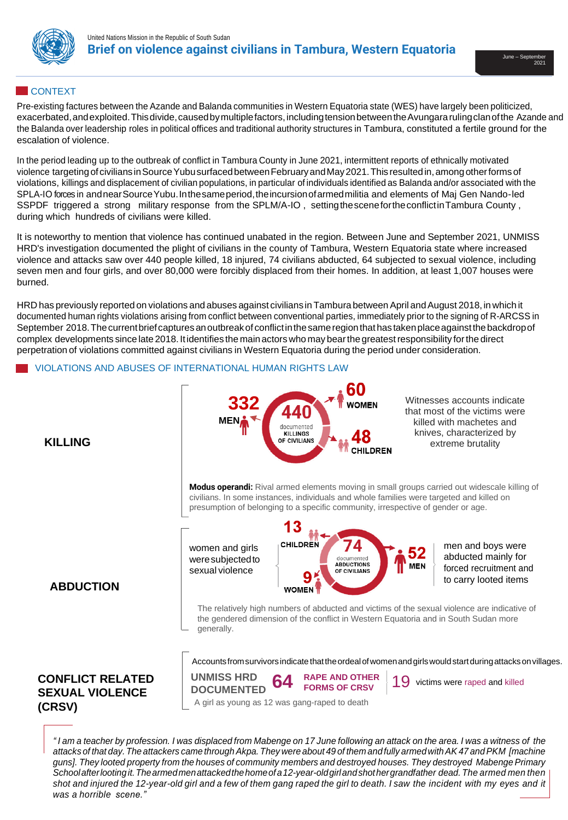

### **CONTEXT**

Pre-existing factures between the Azande and Balanda communities in Western Equatoria state (WES) have largely been politicized, exacerbated, and exploited. This divide, caused by multiple factors, including tension between the Avungara ruling clan of the Azande and the Balanda over leadership roles in political offices and traditional authority structures in Tambura, constituted a fertile ground for the escalation of violence.

In the period leading up to the outbreak of conflict in Tambura County in June 2021, intermittent reports of ethnically motivated violence targetingofciviliansinSourceYubusurfacedbetweenFebruaryandMay2021.This resultedin,amongotherformsof violations, killings and displacement of civilian populations, in particular of individuals identified as Balanda and/or associated with the SPLA-IO forces in andnearSourceYubu.Inthesameperiod,theincursionofarmedmilitia and elements of Maj Gen Nando-led SSPDF triggered a strong military response from the SPLM/A-IO, setting the scene for the conflict in Tambura County, during which hundreds of civilians were killed.

It is noteworthy to mention that violence has continued unabated in the region. Between June and September 2021, UNMISS HRD's investigation documented the plight of civilians in the county of Tambura, Western Equatoria state where increased violence and attacks saw over 440 people killed, 18 injured, 74 civilians abducted, 64 subjected to sexual violence, including seven men and four girls, and over 80,000 were forcibly displaced from their homes. In addition, at least 1,007 houses were burned.

HRD has previously reported on violations and abuses against civilians in Tambura between April and August 2018, in which it documented human rights violations arising from conflict between conventional parties, immediately prior to the signing of R-ARCSS in September 2018. The current brief captures an outbreak of conflict in the same region that has taken place against the backdrop of complex developments since late 2018.Itidentifies the mainactors who may bearthe greatestresponsibility forthe direct perpetration of violations committed against civilians in Western Equatoria during the period under consideration.

### VIOLATIONS AND ABUSES OF INTERNATIONAL HUMAN RIGHTS LAW



Witnesses accounts indicate that most of the victims were killed with machetes and knives, characterized by extreme brutality

**Modus operandi:** Rival armed elements moving in small groups carried out widescale killing of civilians. In some instances, individuals and whole families were targeted and killed on presumption of belonging to a specific community, irrespective of gender or age.

women and girls weresubjectedto sexual violence

**UNMISS HRD DOCUMENTED**



men and boys were abducted mainly for forced recruitment and to carry looted items

**19** victims were raped and killed

The relatively high numbers of abducted and victims of the sexual violence are indicative of the gendered dimension of the conflict in Western Equatoria and in South Sudan more generally.

Accounts from survivors indicate that the ordeal of women and girls would start during attacks on villages.

**RAPE AND OTHER** 

**FORMS OF CRSV** 

# **CONFLICT RELATED SEXUAL VIOLENCE (CRSV)**

**ABDUCTION**

 **KILLING**

A girl as young as 12 was gang-raped to death

"I am a teacher by profession. I was displaced from Mabenge on 17 June following an attack on the area. I was a witness of the attacks of that day. The attackers came through Akpa. They were about 49 of them and fully armed with AK47 and PKM [machine *guns]. They looted property from the houses of community members and destroyed houses. They destroyed MabengePrimary Schoolafterlootingit.Thearmedmenattackedthehomeofa12-year-oldgirlandshothergrandfather dead. The armed men then* shot and injured the 12-year-old girl and a few of them gang raped the girl to death. I saw the incident with my eyes and it *was a horrible scene."*